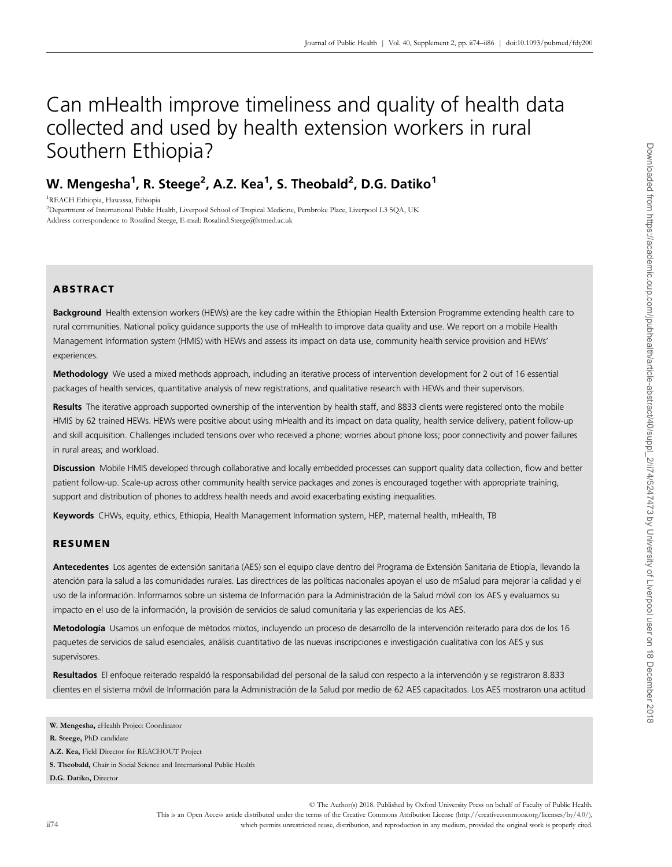# Can mHealth improve timeliness and quality of health data collected and used by health extension workers in rural Southern Ethiopia?

## W. Mengesha<sup>1</sup>, R. Steege<sup>2</sup>, A.Z. Kea<sup>1</sup>, S. Theobald<sup>2</sup>, D.G. Datiko<sup>1</sup>

1 REACH Ethiopia, Hawassa, Ethiopia

2 Department of International Public Health, Liverpool School of Tropical Medicine, Pembroke Place, Liverpool L3 5QA, UK Address correspondence to Rosalind Steege, E-mail: Rosalind.Steege@lstmed.ac.uk

## ABSTRACT

Background Health extension workers (HEWs) are the key cadre within the Ethiopian Health Extension Programme extending health care to rural communities. National policy guidance supports the use of mHealth to improve data quality and use. We report on a mobile Health Management Information system (HMIS) with HEWs and assess its impact on data use, community health service provision and HEWs' experiences.

Methodology We used a mixed methods approach, including an iterative process of intervention development for 2 out of 16 essential packages of health services, quantitative analysis of new registrations, and qualitative research with HEWs and their supervisors.

Results The iterative approach supported ownership of the intervention by health staff, and 8833 clients were registered onto the mobile HMIS by 62 trained HEWs. HEWs were positive about using mHealth and its impact on data quality, health service delivery, patient follow-up and skill acquisition. Challenges included tensions over who received a phone; worries about phone loss; poor connectivity and power failures in rural areas; and workload.

Discussion Mobile HMIS developed through collaborative and locally embedded processes can support quality data collection, flow and better patient follow-up. Scale-up across other community health service packages and zones is encouraged together with appropriate training, support and distribution of phones to address health needs and avoid exacerbating existing inequalities.

Keywords CHWs, equity, ethics, Ethiopia, Health Management Information system, HEP, maternal health, mHealth, TB

## RESUMEN

Antecedentes Los agentes de extensión sanitaria (AES) son el equipo clave dentro del Programa de Extensión Sanitaria de Etiopía, llevando la atención para la salud a las comunidades rurales. Las directrices de las políticas nacionales apoyan el uso de mSalud para mejorar la calidad y el uso de la información. Informamos sobre un sistema de Información para la Administración de la Salud móvil con los AES y evaluamos su impacto en el uso de la información, la provisión de servicios de salud comunitaria y las experiencias de los AES.

Metodología Usamos un enfoque de métodos mixtos, incluyendo un proceso de desarrollo de la intervención reiterado para dos de los 16 paquetes de servicios de salud esenciales, análisis cuantitativo de las nuevas inscripciones e investigación cualitativa con los AES y sus supervisores.

Resultados El enfoque reiterado respaldó la responsabilidad del personal de la salud con respecto a la intervención y se registraron 8.833 clientes en el sistema móvil de Información para la Administración de la Salud por medio de 62 AES capacitados. Los AES mostraron una actitud

D.G. Datiko, Director

This is an Open Access article distributed under the terms of the Creative Commons Attribution License [\(http://creativecommons.org/licenses/by/4.0/\)](http://creativecommons.org/licenses/by/4.0/),

W. Mengesha, eHealth Project Coordinator

R. Steege, PhD candidate

A.Z. Kea, Field Director for REACHOUT Project

S. Theobald, Chair in Social Science and International Public Health

<sup>©</sup> The Author(s) 2018. Published by Oxford University Press on behalf of Faculty of Public Health.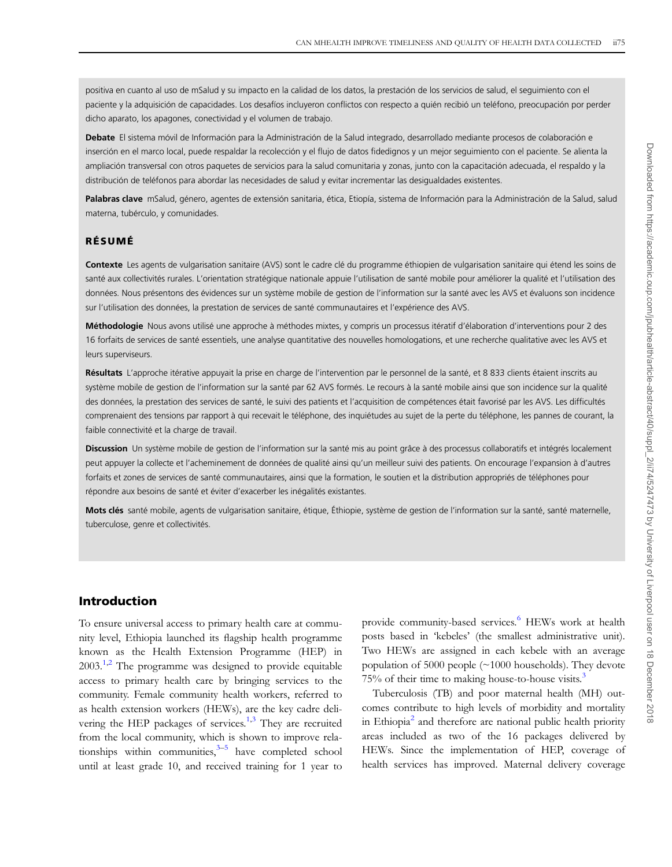positiva en cuanto al uso de mSalud y su impacto en la calidad de los datos, la prestación de los servicios de salud, el seguimiento con el paciente y la adquisición de capacidades. Los desafíos incluyeron conflictos con respecto a quién recibió un teléfono, preocupación por perder dicho aparato, los apagones, conectividad y el volumen de trabajo.

Debate El sistema móvil de Información para la Administración de la Salud integrado, desarrollado mediante procesos de colaboración e inserción en el marco local, puede respaldar la recolección y el flujo de datos fidedignos y un mejor seguimiento con el paciente. Se alienta la ampliación transversal con otros paquetes de servicios para la salud comunitaria y zonas, junto con la capacitación adecuada, el respaldo y la distribución de teléfonos para abordar las necesidades de salud y evitar incrementar las desigualdades existentes.

Palabras clave mSalud, género, agentes de extensión sanitaria, ética, Etiopía, sistema de Información para la Administración de la Salud, salud materna, tubérculo, y comunidades.

## RÉSUMÉ

Contexte Les agents de vulgarisation sanitaire (AVS) sont le cadre clé du programme éthiopien de vulgarisation sanitaire qui étend les soins de santé aux collectivités rurales. L'orientation stratégique nationale appuie l'utilisation de santé mobile pour améliorer la qualité et l'utilisation des données. Nous présentons des évidences sur un système mobile de gestion de l'information sur la santé avec les AVS et évaluons son incidence sur l'utilisation des données, la prestation de services de santé communautaires et l'expérience des AVS.

Méthodologie Nous avons utilisé une approche à méthodes mixtes, y compris un processus itératif d'élaboration d'interventions pour 2 des 16 forfaits de services de santé essentiels, une analyse quantitative des nouvelles homologations, et une recherche qualitative avec les AVS et leurs superviseurs.

Résultats L'approche itérative appuyait la prise en charge de l'intervention par le personnel de la santé, et 8 833 clients étaient inscrits au système mobile de gestion de l'information sur la santé par 62 AVS formés. Le recours à la santé mobile ainsi que son incidence sur la qualité des données, la prestation des services de santé, le suivi des patients et l'acquisition de compétences était favorisé par les AVS. Les difficultés comprenaient des tensions par rapport à qui recevait le téléphone, des inquiétudes au sujet de la perte du téléphone, les pannes de courant, la faible connectivité et la charge de travail.

Discussion Un système mobile de gestion de l'information sur la santé mis au point grâce à des processus collaboratifs et intégrés localement peut appuyer la collecte et l'acheminement de données de qualité ainsi qu'un meilleur suivi des patients. On encourage l'expansion à d'autres forfaits et zones de services de santé communautaires, ainsi que la formation, le soutien et la distribution appropriés de téléphones pour répondre aux besoins de santé et éviter d'exacerber les inégalités existantes.

Mots clés santé mobile, agents de vulgarisation sanitaire, étique, Éthiopie, système de gestion de l'information sur la santé, santé maternelle, tuberculose, genre et collectivités.

## Introduction

To ensure universal access to primary health care at community level, Ethiopia launched its flagship health programme known as the Health Extension Programme (HEP) in  $2003<sup>1,2</sup>$  $2003<sup>1,2</sup>$  $2003<sup>1,2</sup>$  $2003<sup>1,2</sup>$  $2003<sup>1,2</sup>$  The programme was designed to provide equitable access to primary health care by bringing services to the community. Female community health workers, referred to as health extension workers (HEWs), are the key cadre deli-vering the HEP packages of services.<sup>[1](#page-8-0),[3](#page-8-0)</sup> They are recruited from the local community, which is shown to improve relationships within communities, $3-5$  $3-5$  $3-5$  have completed school until at least grade 10, and received training for 1 year to

provide community-based services.<sup>[6](#page-8-0)</sup> HEWs work at health posts based in 'kebeles' (the smallest administrative unit). Two HEWs are assigned in each kebele with an average population of 5000 people (~1000 households). They devote 75% of their time to making house-to-house visits.<sup>[3](#page-8-0)</sup>

Tuberculosis (TB) and poor maternal health (MH) outcomes contribute to high levels of morbidity and mortality in Ethiopia<sup>[2](#page-8-0)</sup> and therefore are national public health priority areas included as two of the 16 packages delivered by HEWs. Since the implementation of HEP, coverage of health services has improved. Maternal delivery coverage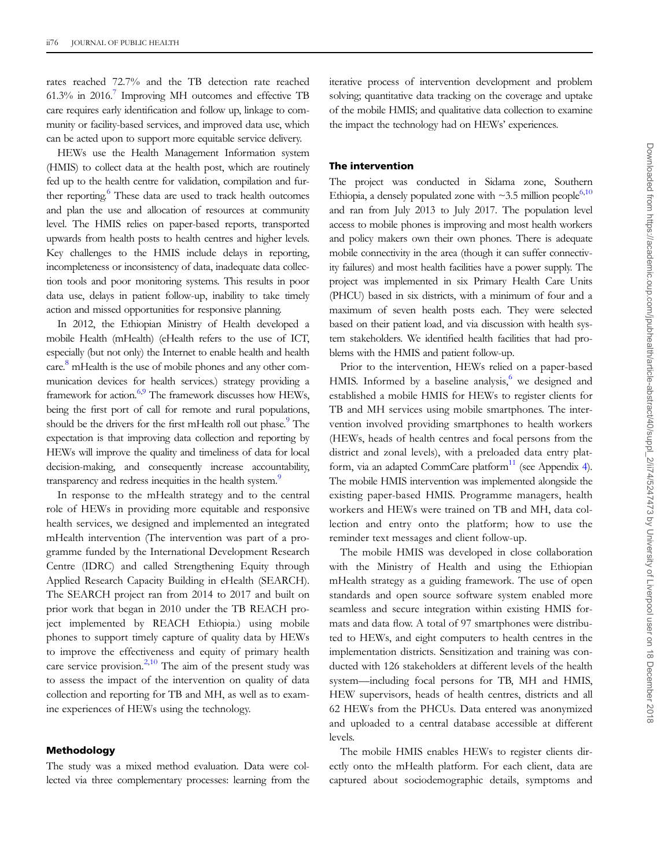rates reached 72.7% and the TB detection rate reached 61.3% in  $2016$ .<sup>[7](#page-8-0)</sup> Improving MH outcomes and effective TB care requires early identification and follow up, linkage to community or facility-based services, and improved data use, which can be acted upon to support more equitable service delivery.

HEWs use the Health Management Information system (HMIS) to collect data at the health post, which are routinely fed up to the health centre for validation, compilation and further reporting.<sup>6</sup> These data are used to track health outcomes and plan the use and allocation of resources at community level. The HMIS relies on paper-based reports, transported upwards from health posts to health centres and higher levels. Key challenges to the HMIS include delays in reporting, incompleteness or inconsistency of data, inadequate data collection tools and poor monitoring systems. This results in poor data use, delays in patient follow-up, inability to take timely action and missed opportunities for responsive planning.

In 2012, the Ethiopian Ministry of Health developed a mobile Health (mHealth) (eHealth refers to the use of ICT, especially (but not only) the Internet to enable health and health care. $8 \text{ m}$  Health is the use of mobile phones and any other communication devices for health services.) strategy providing a framework for action. $6,9$  $6,9$  $6,9$  The framework discusses how HEWs, being the first port of call for remote and rural populations, should be the drivers for the first mHealth roll out phase.<sup>[9](#page-8-0)</sup> The expectation is that improving data collection and reporting by HEWs will improve the quality and timeliness of data for local decision-making, and consequently increase accountability, transparency and redress inequities in the health system.<sup>9</sup>

In response to the mHealth strategy and to the central role of HEWs in providing more equitable and responsive health services, we designed and implemented an integrated mHealth intervention (The intervention was part of a programme funded by the International Development Research Centre (IDRC) and called Strengthening Equity through Applied Research Capacity Building in eHealth (SEARCH). The SEARCH project ran from 2014 to 2017 and built on prior work that began in 2010 under the TB REACH project implemented by REACH Ethiopia.) using mobile phones to support timely capture of quality data by HEWs to improve the effectiveness and equity of primary health care service provision. $2,10$  The aim of the present study was to assess the impact of the intervention on quality of data collection and reporting for TB and MH, as well as to examine experiences of HEWs using the technology.

#### Methodology

The study was a mixed method evaluation. Data were collected via three complementary processes: learning from the iterative process of intervention development and problem solving; quantitative data tracking on the coverage and uptake of the mobile HMIS; and qualitative data collection to examine the impact the technology had on HEWs' experiences.

#### The intervention

The project was conducted in Sidama zone, Southern Ethiopia, a densely populated zone with  $\sim$ 3.5 million people<sup>6,10</sup> and ran from July 2013 to July 2017. The population level access to mobile phones is improving and most health workers and policy makers own their own phones. There is adequate mobile connectivity in the area (though it can suffer connectivity failures) and most health facilities have a power supply. The project was implemented in six Primary Health Care Units (PHCU) based in six districts, with a minimum of four and a maximum of seven health posts each. They were selected based on their patient load, and via discussion with health system stakeholders. We identified health facilities that had problems with the HMIS and patient follow-up.

Prior to the intervention, HEWs relied on a paper-based HMIS. Informed by a baseline analysis, $6 \text{ we designed and}$  $6 \text{ we designed and}$ established a mobile HMIS for HEWs to register clients for TB and MH services using mobile smartphones. The intervention involved providing smartphones to health workers (HEWs, heads of health centres and focal persons from the district and zonal levels), with a preloaded data entry platform, via an adapted CommCare platform $11$  (see Appendix [4](#page-9-0)). The mobile HMIS intervention was implemented alongside the existing paper-based HMIS. Programme managers, health workers and HEWs were trained on TB and MH, data collection and entry onto the platform; how to use the reminder text messages and client follow-up.

The mobile HMIS was developed in close collaboration with the Ministry of Health and using the Ethiopian mHealth strategy as a guiding framework. The use of open standards and open source software system enabled more seamless and secure integration within existing HMIS formats and data flow. A total of 97 smartphones were distributed to HEWs, and eight computers to health centres in the implementation districts. Sensitization and training was conducted with 126 stakeholders at different levels of the health system—including focal persons for TB, MH and HMIS, HEW supervisors, heads of health centres, districts and all 62 HEWs from the PHCUs. Data entered was anonymized and uploaded to a central database accessible at different levels.

The mobile HMIS enables HEWs to register clients directly onto the mHealth platform. For each client, data are captured about sociodemographic details, symptoms and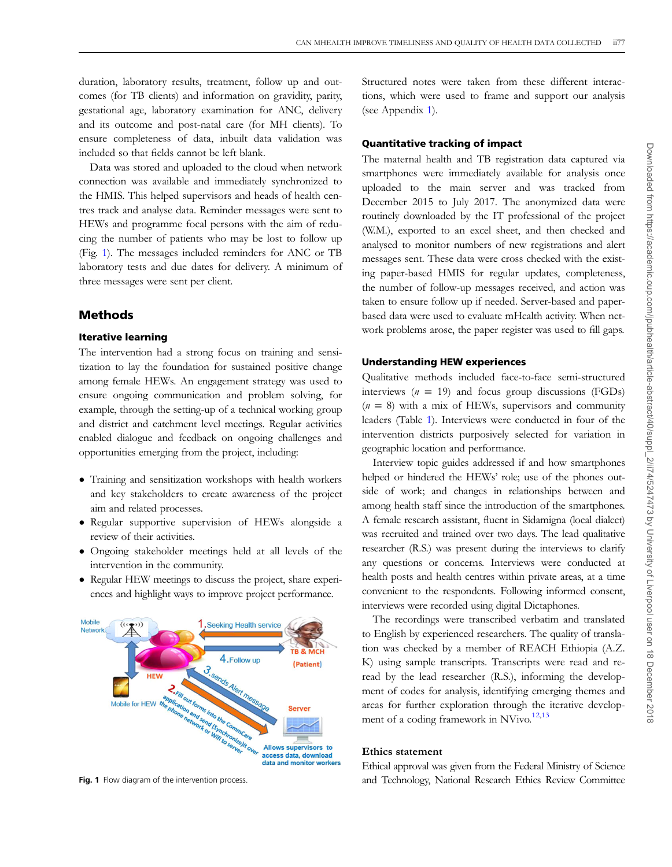duration, laboratory results, treatment, follow up and outcomes (for TB clients) and information on gravidity, parity, gestational age, laboratory examination for ANC, delivery and its outcome and post-natal care (for MH clients). To ensure completeness of data, inbuilt data validation was included so that fields cannot be left blank.

Data was stored and uploaded to the cloud when network connection was available and immediately synchronized to the HMIS. This helped supervisors and heads of health centres track and analyse data. Reminder messages were sent to HEWs and programme focal persons with the aim of reducing the number of patients who may be lost to follow up (Fig. 1). The messages included reminders for ANC or TB laboratory tests and due dates for delivery. A minimum of three messages were sent per client.

#### Methods

#### Iterative learning

The intervention had a strong focus on training and sensitization to lay the foundation for sustained positive change among female HEWs. An engagement strategy was used to ensure ongoing communication and problem solving, for example, through the setting-up of a technical working group and district and catchment level meetings. Regular activities enabled dialogue and feedback on ongoing challenges and opportunities emerging from the project, including:

- Training and sensitization workshops with health workers and key stakeholders to create awareness of the project aim and related processes.
- Regular supportive supervision of HEWs alongside a review of their activities.
- Ongoing stakeholder meetings held at all levels of the intervention in the community.
- Regular HEW meetings to discuss the project, share experiences and highlight ways to improve project performance.



Structured notes were taken from these different interactions, which were used to frame and support our analysis (see Appendix [1](#page-9-0)).

#### Quantitative tracking of impact

The maternal health and TB registration data captured via smartphones were immediately available for analysis once uploaded to the main server and was tracked from December 2015 to July 2017. The anonymized data were routinely downloaded by the IT professional of the project (W.M.), exported to an excel sheet, and then checked and analysed to monitor numbers of new registrations and alert messages sent. These data were cross checked with the existing paper-based HMIS for regular updates, completeness, the number of follow-up messages received, and action was taken to ensure follow up if needed. Server-based and paperbased data were used to evaluate mHealth activity. When network problems arose, the paper register was used to fill gaps.

#### Understanding HEW experiences

Qualitative methods included face-to-face semi-structured interviews  $(n = 19)$  and focus group discussions (FGDs)  $(n = 8)$  with a mix of HEWs, supervisors and community leaders (Table [1\)](#page-4-0). Interviews were conducted in four of the intervention districts purposively selected for variation in geographic location and performance.

Interview topic guides addressed if and how smartphones helped or hindered the HEWs' role; use of the phones outside of work; and changes in relationships between and among health staff since the introduction of the smartphones. A female research assistant, fluent in Sidamigna (local dialect) was recruited and trained over two days. The lead qualitative researcher (R.S.) was present during the interviews to clarify any questions or concerns. Interviews were conducted at health posts and health centres within private areas, at a time convenient to the respondents. Following informed consent, interviews were recorded using digital Dictaphones.

The recordings were transcribed verbatim and translated to English by experienced researchers. The quality of translation was checked by a member of REACH Ethiopia (A.Z. K) using sample transcripts. Transcripts were read and reread by the lead researcher (R.S.), informing the development of codes for analysis, identifying emerging themes and areas for further exploration through the iterative development of a coding framework in NVivo. $12,13$ 

#### Ethics statement

Ethical approval was given from the Federal Ministry of Science Fig. 1 Flow diagram of the intervention process. The same of the intervention process. The same of the intervention process. The same of the intervention process. The same of the intervention process. The same of the inter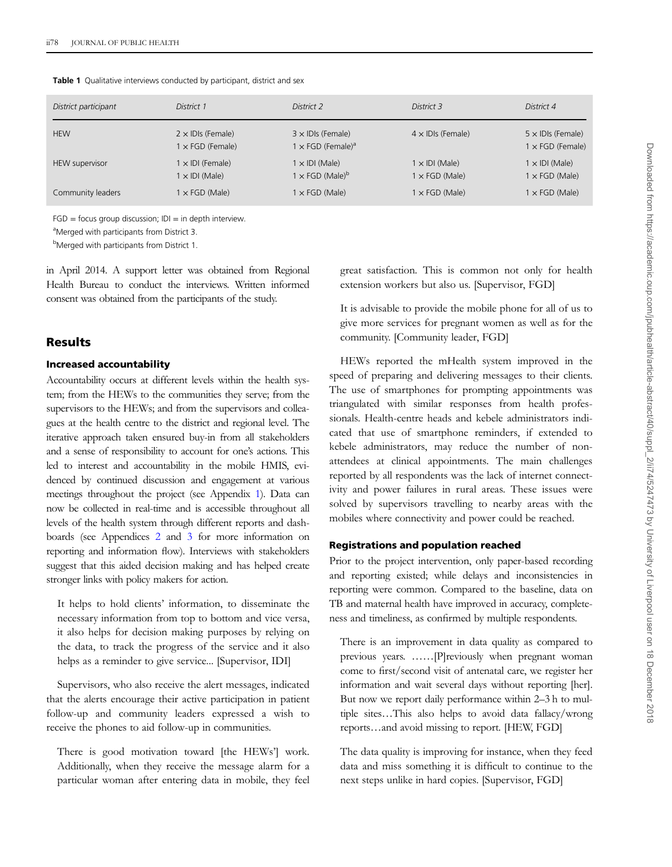| District participant  | District 1                                          | District 2                                                       | District 3                                     | District 4                                          |
|-----------------------|-----------------------------------------------------|------------------------------------------------------------------|------------------------------------------------|-----------------------------------------------------|
| <b>HEW</b>            | $2 \times$ IDIs (Female)<br>$1 \times$ FGD (Female) | $3 \times$ IDIs (Female)<br>$1 \times$ FGD (Female) <sup>a</sup> | $4 \times$ IDIs (Female)                       | $5 \times$ IDIs (Female)<br>$1 \times$ FGD (Female) |
| <b>HEW</b> supervisor | $1 \times$ IDI (Female)<br>$1 \times$ IDI (Male)    | $1 \times$ IDI (Male)<br>$1 \times$ FGD (Male) <sup>b</sup>      | $1 \times$ IDI (Male)<br>$1 \times$ FGD (Male) | $1 \times$ IDI (Male)<br>$1 \times FGD$ (Male)      |
| Community leaders     | $1 \times$ FGD (Male)                               | $1 \times$ FGD (Male)                                            | $1 \times$ FGD (Male)                          | $1 \times$ FGD (Male)                               |

<span id="page-4-0"></span>Table 1 Qualitative interviews conducted by participant, district and sex

 $FGD = focus group discussion; IDI = in depth interview.$ 

<sup>a</sup>Merged with participants from District 3.

<sup>b</sup>Merged with participants from District 1.

in April 2014. A support letter was obtained from Regional Health Bureau to conduct the interviews. Written informed consent was obtained from the participants of the study.

## Results

#### Increased accountability

Accountability occurs at different levels within the health system; from the HEWs to the communities they serve; from the supervisors to the HEWs; and from the supervisors and colleagues at the health centre to the district and regional level. The iterative approach taken ensured buy-in from all stakeholders and a sense of responsibility to account for one's actions. This led to interest and accountability in the mobile HMIS, evidenced by continued discussion and engagement at various meetings throughout the project (see Appendix [1](#page-9-0)). Data can now be collected in real-time and is accessible throughout all levels of the health system through different reports and dashboards (see Appendices [2](#page-10-0) and [3](#page-11-0) for more information on reporting and information flow). Interviews with stakeholders suggest that this aided decision making and has helped create stronger links with policy makers for action.

It helps to hold clients' information, to disseminate the necessary information from top to bottom and vice versa, it also helps for decision making purposes by relying on the data, to track the progress of the service and it also helps as a reminder to give service... [Supervisor, IDI]

Supervisors, who also receive the alert messages, indicated that the alerts encourage their active participation in patient follow-up and community leaders expressed a wish to receive the phones to aid follow-up in communities.

There is good motivation toward [the HEWs'] work. Additionally, when they receive the message alarm for a particular woman after entering data in mobile, they feel great satisfaction. This is common not only for health extension workers but also us. [Supervisor, FGD]

It is advisable to provide the mobile phone for all of us to give more services for pregnant women as well as for the community. [Community leader, FGD]

HEWs reported the mHealth system improved in the speed of preparing and delivering messages to their clients. The use of smartphones for prompting appointments was triangulated with similar responses from health professionals. Health-centre heads and kebele administrators indicated that use of smartphone reminders, if extended to kebele administrators, may reduce the number of nonattendees at clinical appointments. The main challenges reported by all respondents was the lack of internet connectivity and power failures in rural areas. These issues were solved by supervisors travelling to nearby areas with the mobiles where connectivity and power could be reached.

#### Registrations and population reached

Prior to the project intervention, only paper-based recording and reporting existed; while delays and inconsistencies in reporting were common. Compared to the baseline, data on TB and maternal health have improved in accuracy, completeness and timeliness, as confirmed by multiple respondents.

There is an improvement in data quality as compared to previous years. ……[P]reviously when pregnant woman come to first/second visit of antenatal care, we register her information and wait several days without reporting [her]. But now we report daily performance within 2–3 h to multiple sites…This also helps to avoid data fallacy/wrong reports…and avoid missing to report. [HEW, FGD]

The data quality is improving for instance, when they feed data and miss something it is difficult to continue to the next steps unlike in hard copies. [Supervisor, FGD]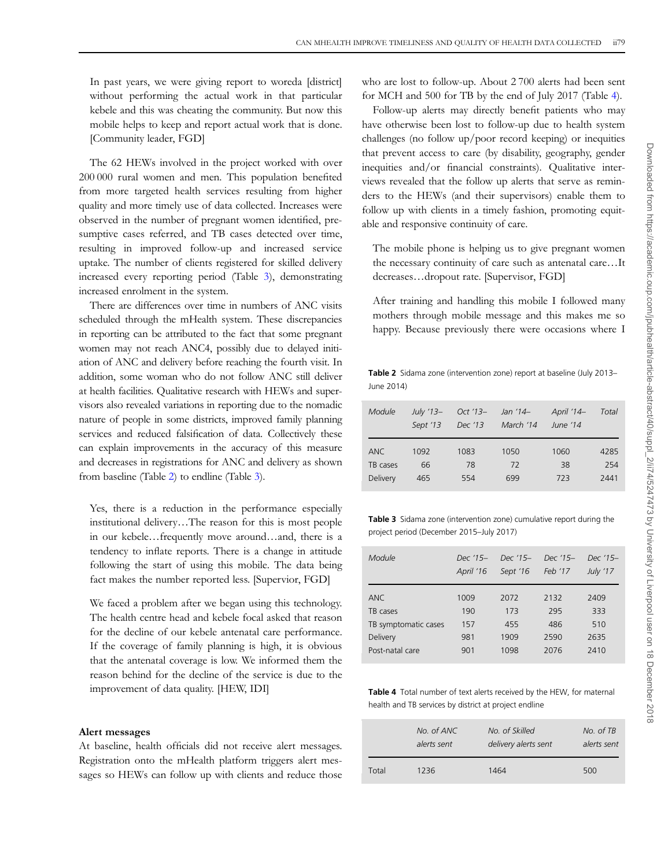In past years, we were giving report to woreda [district] without performing the actual work in that particular kebele and this was cheating the community. But now this mobile helps to keep and report actual work that is done. [Community leader, FGD]

The 62 HEWs involved in the project worked with over 200 000 rural women and men. This population benefited from more targeted health services resulting from higher quality and more timely use of data collected. Increases were observed in the number of pregnant women identified, presumptive cases referred, and TB cases detected over time, resulting in improved follow-up and increased service uptake. The number of clients registered for skilled delivery increased every reporting period (Table 3), demonstrating increased enrolment in the system.

There are differences over time in numbers of ANC visits scheduled through the mHealth system. These discrepancies in reporting can be attributed to the fact that some pregnant women may not reach ANC4, possibly due to delayed initiation of ANC and delivery before reaching the fourth visit. In addition, some woman who do not follow ANC still deliver at health facilities. Qualitative research with HEWs and supervisors also revealed variations in reporting due to the nomadic nature of people in some districts, improved family planning services and reduced falsification of data. Collectively these can explain improvements in the accuracy of this measure and decreases in registrations for ANC and delivery as shown from baseline (Table 2) to endline (Table 3).

Yes, there is a reduction in the performance especially institutional delivery…The reason for this is most people in our kebele…frequently move around…and, there is a tendency to inflate reports. There is a change in attitude following the start of using this mobile. The data being fact makes the number reported less. [Supervior, FGD]

We faced a problem after we began using this technology. The health centre head and kebele focal asked that reason for the decline of our kebele antenatal care performance. If the coverage of family planning is high, it is obvious that the antenatal coverage is low. We informed them the reason behind for the decline of the service is due to the improvement of data quality. [HEW, IDI]

#### Alert messages

At baseline, health officials did not receive alert messages. Registration onto the mHealth platform triggers alert messages so HEWs can follow up with clients and reduce those who are lost to follow-up. About 2 700 alerts had been sent for MCH and 500 for TB by the end of July 2017 (Table 4).

Follow-up alerts may directly benefit patients who may have otherwise been lost to follow-up due to health system challenges (no follow up/poor record keeping) or inequities that prevent access to care (by disability, geography, gender inequities and/or financial constraints). Qualitative interviews revealed that the follow up alerts that serve as reminders to the HEWs (and their supervisors) enable them to follow up with clients in a timely fashion, promoting equitable and responsive continuity of care.

The mobile phone is helping us to give pregnant women the necessary continuity of care such as antenatal care…It decreases…dropout rate. [Supervisor, FGD]

After training and handling this mobile I followed many mothers through mobile message and this makes me so happy. Because previously there were occasions where I

Table 2 Sidama zone (intervention zone) report at baseline (July 2013– June 2014)

| Module                 | July '13-<br>Sept '13 | Oct '13-<br>Dec '13 | Jan '14-<br>March '14 | April '14–<br>June '14 | Total       |
|------------------------|-----------------------|---------------------|-----------------------|------------------------|-------------|
| <b>ANC</b><br>TB cases | 1092<br>66            | 1083<br>78          | 1050<br>72            | 1060<br>38             | 4285<br>254 |
| Delivery               | 465                   | 554                 | 699                   | 723                    | 2441        |

Table 3 Sidama zone (intervention zone) cumulative report during the project period (December 2015–July 2017)

| Module               | Dec '15-<br>April '16 | Dec '15-<br>Sept '16 | Dec '15-<br>Feb '17 | Dec '15-<br>July '17 |
|----------------------|-----------------------|----------------------|---------------------|----------------------|
| ANC.                 | 1009                  | 2072                 | 2132                | 2409                 |
| TB cases             | 190                   | 173                  | 295                 | 333                  |
| TB symptomatic cases | 157                   | 455                  | 486                 | 510                  |
| Delivery             | 981                   | 1909                 | 2590                | 2635                 |
| Post-natal care      | 901                   | 1098                 | 2076                | 2410                 |
|                      |                       |                      |                     |                      |

Table 4 Total number of text alerts received by the HEW, for maternal health and TB services by district at project endline

|       | No. of ANC  | No. of Skilled       | $No.$ of $TB$ |
|-------|-------------|----------------------|---------------|
|       | alerts sent | delivery alerts sent | alerts sent   |
| Total | 1236        | 1464                 | 500           |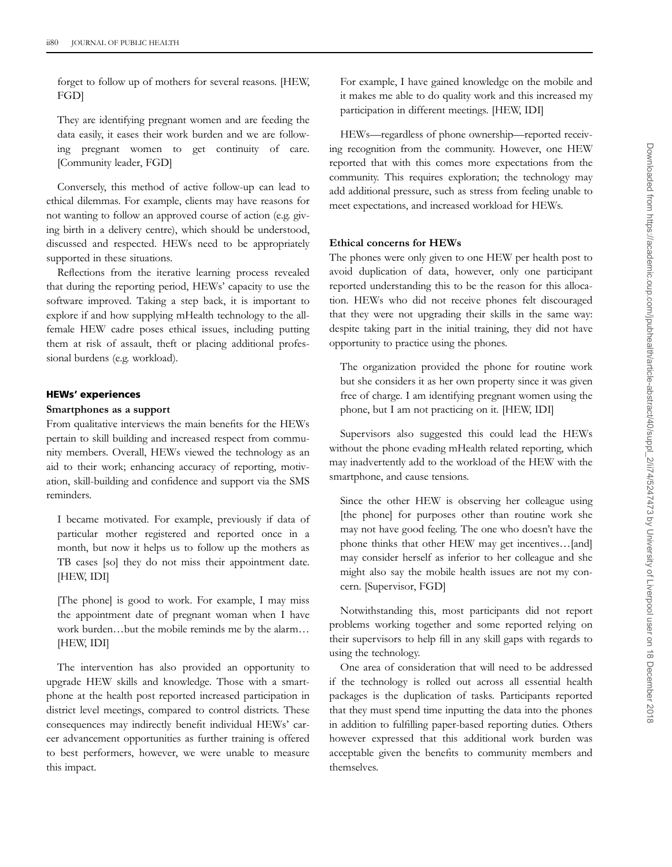forget to follow up of mothers for several reasons. [HEW, FGD]

They are identifying pregnant women and are feeding the data easily, it eases their work burden and we are following pregnant women to get continuity of care. [Community leader, FGD]

Conversely, this method of active follow-up can lead to ethical dilemmas. For example, clients may have reasons for not wanting to follow an approved course of action (e.g. giving birth in a delivery centre), which should be understood, discussed and respected. HEWs need to be appropriately supported in these situations.

Reflections from the iterative learning process revealed that during the reporting period, HEWs' capacity to use the software improved. Taking a step back, it is important to explore if and how supplying mHealth technology to the allfemale HEW cadre poses ethical issues, including putting them at risk of assault, theft or placing additional professional burdens (e.g. workload).

#### HEWs' experiences

#### Smartphones as a support

From qualitative interviews the main benefits for the HEWs pertain to skill building and increased respect from community members. Overall, HEWs viewed the technology as an aid to their work; enhancing accuracy of reporting, motivation, skill-building and confidence and support via the SMS reminders.

I became motivated. For example, previously if data of particular mother registered and reported once in a month, but now it helps us to follow up the mothers as TB cases [so] they do not miss their appointment date. [HEW, IDI]

[The phone] is good to work. For example, I may miss the appointment date of pregnant woman when I have work burden…but the mobile reminds me by the alarm… [HEW, IDI]

The intervention has also provided an opportunity to upgrade HEW skills and knowledge. Those with a smartphone at the health post reported increased participation in district level meetings, compared to control districts. These consequences may indirectly benefit individual HEWs' career advancement opportunities as further training is offered to best performers, however, we were unable to measure this impact.

For example, I have gained knowledge on the mobile and it makes me able to do quality work and this increased my participation in different meetings. [HEW, IDI]

HEWs—regardless of phone ownership—reported receiving recognition from the community. However, one HEW reported that with this comes more expectations from the community. This requires exploration; the technology may add additional pressure, such as stress from feeling unable to meet expectations, and increased workload for HEWs.

#### Ethical concerns for HEWs

The phones were only given to one HEW per health post to avoid duplication of data, however, only one participant reported understanding this to be the reason for this allocation. HEWs who did not receive phones felt discouraged that they were not upgrading their skills in the same way: despite taking part in the initial training, they did not have opportunity to practice using the phones.

The organization provided the phone for routine work but she considers it as her own property since it was given free of charge. I am identifying pregnant women using the phone, but I am not practicing on it. [HEW, IDI]

Supervisors also suggested this could lead the HEWs without the phone evading mHealth related reporting, which may inadvertently add to the workload of the HEW with the smartphone, and cause tensions.

Since the other HEW is observing her colleague using [the phone] for purposes other than routine work she may not have good feeling. The one who doesn't have the phone thinks that other HEW may get incentives…[and] may consider herself as inferior to her colleague and she might also say the mobile health issues are not my concern. [Supervisor, FGD]

Notwithstanding this, most participants did not report problems working together and some reported relying on their supervisors to help fill in any skill gaps with regards to using the technology.

One area of consideration that will need to be addressed if the technology is rolled out across all essential health packages is the duplication of tasks. Participants reported that they must spend time inputting the data into the phones in addition to fulfilling paper-based reporting duties. Others however expressed that this additional work burden was acceptable given the benefits to community members and themselves.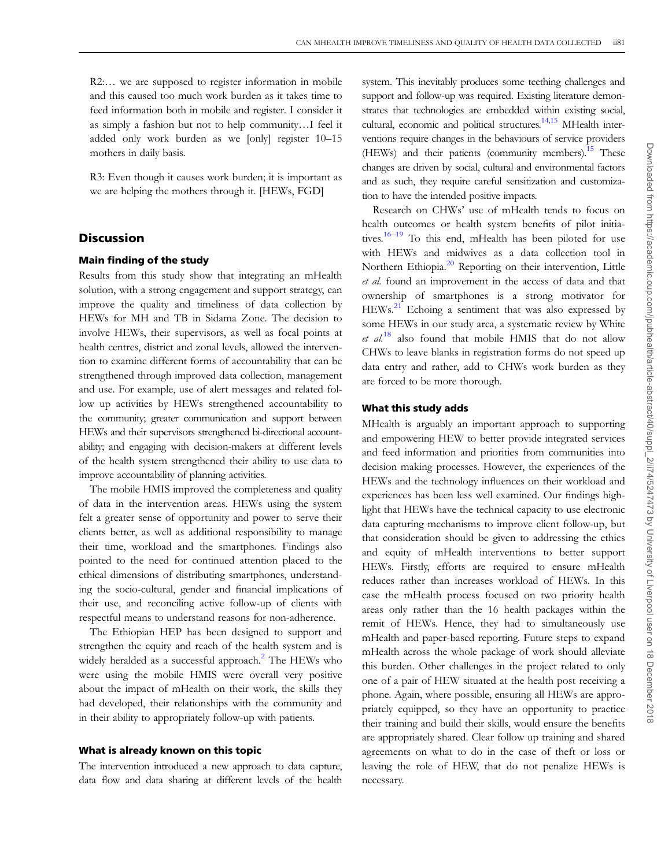R2:… we are supposed to register information in mobile and this caused too much work burden as it takes time to feed information both in mobile and register. I consider it as simply a fashion but not to help community…I feel it added only work burden as we [only] register 10–15 mothers in daily basis.

R3: Even though it causes work burden; it is important as we are helping the mothers through it. [HEWs, FGD]

## **Discussion**

#### Main finding of the study

Results from this study show that integrating an mHealth solution, with a strong engagement and support strategy, can improve the quality and timeliness of data collection by HEWs for MH and TB in Sidama Zone. The decision to involve HEWs, their supervisors, as well as focal points at health centres, district and zonal levels, allowed the intervention to examine different forms of accountability that can be strengthened through improved data collection, management and use. For example, use of alert messages and related follow up activities by HEWs strengthened accountability to the community; greater communication and support between HEWs and their supervisors strengthened bi-directional accountability; and engaging with decision-makers at different levels of the health system strengthened their ability to use data to improve accountability of planning activities.

The mobile HMIS improved the completeness and quality of data in the intervention areas. HEWs using the system felt a greater sense of opportunity and power to serve their clients better, as well as additional responsibility to manage their time, workload and the smartphones. Findings also pointed to the need for continued attention placed to the ethical dimensions of distributing smartphones, understanding the socio-cultural, gender and financial implications of their use, and reconciling active follow-up of clients with respectful means to understand reasons for non-adherence.

The Ethiopian HEP has been designed to support and strengthen the equity and reach of the health system and is widely heralded as a successful approach.<sup>[2](#page-8-0)</sup> The HEWs who were using the mobile HMIS were overall very positive about the impact of mHealth on their work, the skills they had developed, their relationships with the community and in their ability to appropriately follow-up with patients.

#### What is already known on this topic

The intervention introduced a new approach to data capture, data flow and data sharing at different levels of the health system. This inevitably produces some teething challenges and support and follow-up was required. Existing literature demonstrates that technologies are embedded within existing social, cultural, economic and political structures.<sup>14,[15](#page-9-0)</sup> MHealth interventions require changes in the behaviours of service providers (HEWs) and their patients (community members).<sup>[15](#page-9-0)</sup> These changes are driven by social, cultural and environmental factors and as such, they require careful sensitization and customization to have the intended positive impacts.

Research on CHWs' use of mHealth tends to focus on health outcomes or health system benefits of pilot initia-tives.<sup>[16](#page-9-0)–[19](#page-9-0)</sup> To this end, mHealth has been piloted for use with HEWs and midwives as a data collection tool in Northern Ethiopia.<sup>[20](#page-9-0)</sup> Reporting on their intervention, Little et al. found an improvement in the access of data and that ownership of smartphones is a strong motivator for  $HEWs.<sup>21</sup>$  $HEWs.<sup>21</sup>$  $HEWs.<sup>21</sup>$  Echoing a sentiment that was also expressed by some HEWs in our study area, a systematic review by White et  $al^{18}$  $al^{18}$  $al^{18}$  also found that mobile HMIS that do not allow CHWs to leave blanks in registration forms do not speed up data entry and rather, add to CHWs work burden as they are forced to be more thorough.

#### What this study adds

MHealth is arguably an important approach to supporting and empowering HEW to better provide integrated services and feed information and priorities from communities into decision making processes. However, the experiences of the HEWs and the technology influences on their workload and experiences has been less well examined. Our findings highlight that HEWs have the technical capacity to use electronic data capturing mechanisms to improve client follow-up, but that consideration should be given to addressing the ethics and equity of mHealth interventions to better support HEWs. Firstly, efforts are required to ensure mHealth reduces rather than increases workload of HEWs. In this case the mHealth process focused on two priority health areas only rather than the 16 health packages within the remit of HEWs. Hence, they had to simultaneously use mHealth and paper-based reporting. Future steps to expand mHealth across the whole package of work should alleviate this burden. Other challenges in the project related to only one of a pair of HEW situated at the health post receiving a phone. Again, where possible, ensuring all HEWs are appropriately equipped, so they have an opportunity to practice their training and build their skills, would ensure the benefits are appropriately shared. Clear follow up training and shared agreements on what to do in the case of theft or loss or leaving the role of HEW, that do not penalize HEWs is necessary.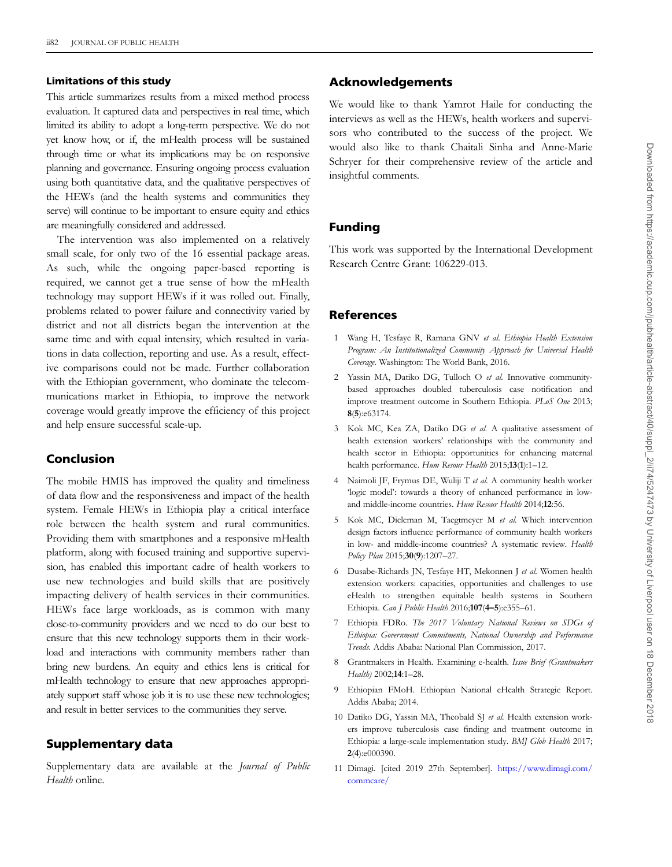#### <span id="page-8-0"></span>Limitations of this study

This article summarizes results from a mixed method process evaluation. It captured data and perspectives in real time, which limited its ability to adopt a long-term perspective. We do not yet know how, or if, the mHealth process will be sustained through time or what its implications may be on responsive planning and governance. Ensuring ongoing process evaluation using both quantitative data, and the qualitative perspectives of the HEWs (and the health systems and communities they serve) will continue to be important to ensure equity and ethics are meaningfully considered and addressed.

The intervention was also implemented on a relatively small scale, for only two of the 16 essential package areas. As such, while the ongoing paper-based reporting is required, we cannot get a true sense of how the mHealth technology may support HEWs if it was rolled out. Finally, problems related to power failure and connectivity varied by district and not all districts began the intervention at the same time and with equal intensity, which resulted in variations in data collection, reporting and use. As a result, effective comparisons could not be made. Further collaboration with the Ethiopian government, who dominate the telecommunications market in Ethiopia, to improve the network coverage would greatly improve the efficiency of this project and help ensure successful scale-up.

## Conclusion

The mobile HMIS has improved the quality and timeliness of data flow and the responsiveness and impact of the health system. Female HEWs in Ethiopia play a critical interface role between the health system and rural communities. Providing them with smartphones and a responsive mHealth platform, along with focused training and supportive supervision, has enabled this important cadre of health workers to use new technologies and build skills that are positively impacting delivery of health services in their communities. HEWs face large workloads, as is common with many close-to-community providers and we need to do our best to ensure that this new technology supports them in their workload and interactions with community members rather than bring new burdens. An equity and ethics lens is critical for mHealth technology to ensure that new approaches appropriately support staff whose job it is to use these new technologies; and result in better services to the communities they serve.

#### Supplementary data

Supplementary data are available at the Journal of Public Health online.

## Acknowledgements

We would like to thank Yamrot Haile for conducting the interviews as well as the HEWs, health workers and supervisors who contributed to the success of the project. We would also like to thank Chaitali Sinha and Anne-Marie Schryer for their comprehensive review of the article and insightful comments.

## Funding

This work was supported by the International Development Research Centre Grant: 106229-013.

## References

- 1 Wang H, Tesfaye R, Ramana GNV et al. Ethiopia Health Extension Program: An Institutionalized Community Approach for Universal Health Coverage. Washington: The World Bank, 2016.
- 2 Yassin MA, Datiko DG, Tulloch O et al. Innovative communitybased approaches doubled tuberculosis case notification and improve treatment outcome in Southern Ethiopia. PLoS One 2013; 8(5):e63174.
- 3 Kok MC, Kea ZA, Datiko DG et al. A qualitative assessment of health extension workers' relationships with the community and health sector in Ethiopia: opportunities for enhancing maternal health performance. Hum Resour Health 2015;13(1):1-12.
- 4 Naimoli JF, Frymus DE, Wuliji T et al. A community health worker 'logic model': towards a theory of enhanced performance in lowand middle-income countries. Hum Resour Health 2014;12:56.
- 5 Kok MC, Dieleman M, Taegtmeyer M et al. Which intervention design factors influence performance of community health workers in low- and middle-income countries? A systematic review. Health Policy Plan 2015;30(9):1207-27.
- 6 Dusabe-Richards JN, Tesfaye HT, Mekonnen J et al. Women health extension workers: capacities, opportunities and challenges to use eHealth to strengthen equitable health systems in Southern Ethiopia. Can J Public Health 2016;107(4-5):e355-61.
- 7 Ethiopia FDRo. The 2017 Voluntary National Reviews on SDGs of Ethiopia: Government Commitments, National Ownership and Performance Trends. Addis Ababa: National Plan Commission, 2017.
- 8 Grantmakers in Health. Examining e-health. Issue Brief (Grantmakers Health) 2002;14:1–28.
- 9 Ethiopian FMoH. Ethiopian National eHealth Strategic Report. Addis Ababa; 2014.
- 10 Datiko DG, Yassin MA, Theobald SJ et al. Health extension workers improve tuberculosis case finding and treatment outcome in Ethiopia: a large-scale implementation study. BMJ Glob Health 2017; 2(4):e000390.
- 11 Dimagi. [cited 2019 27th September]. [https://www.dimagi.com/](https://www.dimagi.com/commcare/) [commcare/](https://www.dimagi.com/commcare/)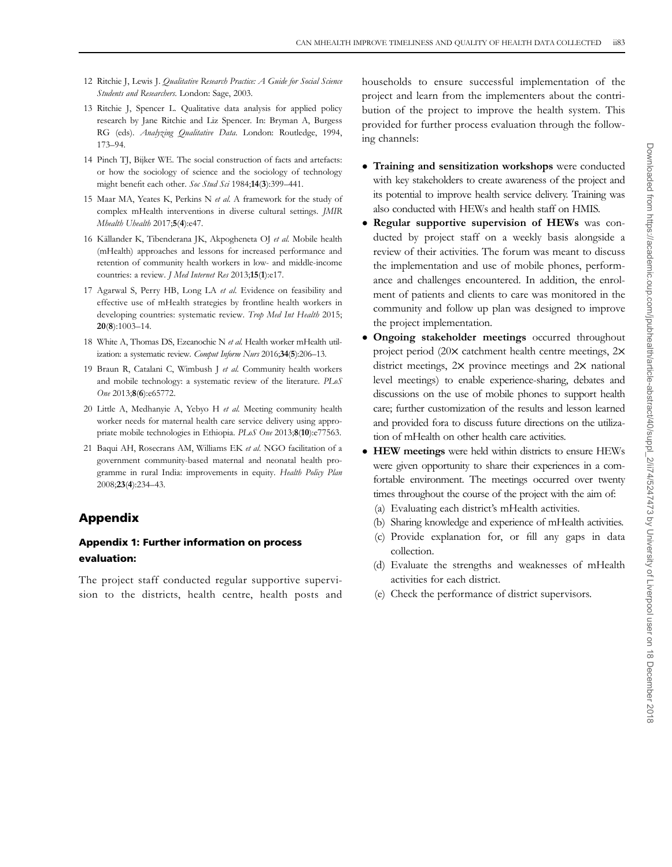- <span id="page-9-0"></span>12 Ritchie J, Lewis J. Oualitative Research Practice: A Guide for Social Science Students and Researchers. London: Sage, 2003.
- 13 Ritchie J, Spencer L. Qualitative data analysis for applied policy research by Jane Ritchie and Liz Spencer. In: Bryman A, Burgess RG (eds). Analyzing Qualitative Data. London: Routledge, 1994, 173–94.
- 14 Pinch TJ, Bijker WE. The social construction of facts and artefacts: or how the sociology of science and the sociology of technology might benefit each other. Soc Stud Sci 1984;14(3):399-441.
- 15 Maar MA, Yeates K, Perkins N et al. A framework for the study of complex mHealth interventions in diverse cultural settings. JMIR Mhealth Uhealth 2017;5(4):e47.
- 16 Källander K, Tibenderana JK, Akpogheneta OJ et al. Mobile health (mHealth) approaches and lessons for increased performance and retention of community health workers in low- and middle-income countries: a review. J Med Internet Res 2013;15(1):e17.
- 17 Agarwal S, Perry HB, Long LA et al. Evidence on feasibility and effective use of mHealth strategies by frontline health workers in developing countries: systematic review. Trop Med Int Health 2015; 20(8):1003–14.
- 18 White A, Thomas DS, Ezeanochie N et al. Health worker mHealth utilization: a systematic review. Comput Inform Nurs 2016;34(5):206–13.
- 19 Braun R, Catalani C, Wimbush J et al. Community health workers and mobile technology: a systematic review of the literature. PLoS One 2013;8(6):e65772.
- 20 Little A, Medhanyie A, Yebyo H et al. Meeting community health worker needs for maternal health care service delivery using appropriate mobile technologies in Ethiopia. PLoS One 2013;8(10):e77563.
- 21 Baqui AH, Rosecrans AM, Williams EK et al. NGO facilitation of a government community-based maternal and neonatal health programme in rural India: improvements in equity. Health Policy Plan 2008;23(4):234–43.

## Appendix

## Appendix 1: Further information on process evaluation:

The project staff conducted regular supportive supervision to the districts, health centre, health posts and households to ensure successful implementation of the project and learn from the implementers about the contribution of the project to improve the health system. This provided for further process evaluation through the following channels:

- Training and sensitization workshops were conducted with key stakeholders to create awareness of the project and its potential to improve health service delivery. Training was also conducted with HEWs and health staff on HMIS.
- Regular supportive supervision of HEWs was conducted by project staff on a weekly basis alongside a review of their activities. The forum was meant to discuss the implementation and use of mobile phones, performance and challenges encountered. In addition, the enrolment of patients and clients to care was monitored in the community and follow up plan was designed to improve the project implementation.
- Ongoing stakeholder meetings occurred throughout project period (20× catchment health centre meetings, 2× district meetings, 2× province meetings and 2× national level meetings) to enable experience-sharing, debates and discussions on the use of mobile phones to support health care; further customization of the results and lesson learned and provided fora to discuss future directions on the utilization of mHealth on other health care activities.
- HEW meetings were held within districts to ensure HEWs were given opportunity to share their experiences in a comfortable environment. The meetings occurred over twenty times throughout the course of the project with the aim of:
	- (a) Evaluating each district's mHealth activities.
	- (b) Sharing knowledge and experience of mHealth activities.
	- (c) Provide explanation for, or fill any gaps in data collection.
	- (d) Evaluate the strengths and weaknesses of mHealth activities for each district.
	- (e) Check the performance of district supervisors.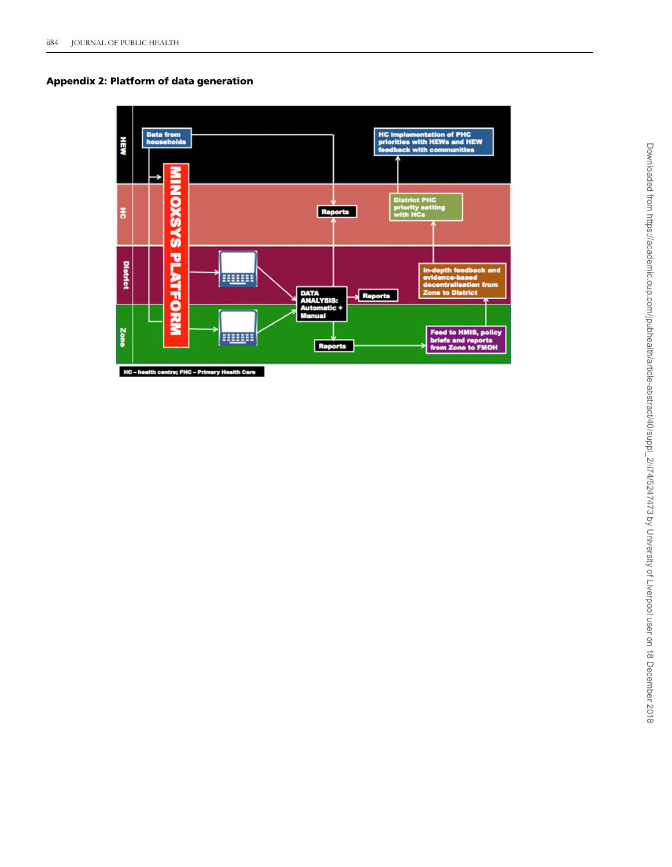## <span id="page-10-0"></span>Appendix 2: Platform of data generation



HC - health centre; PHC - Primary Health Car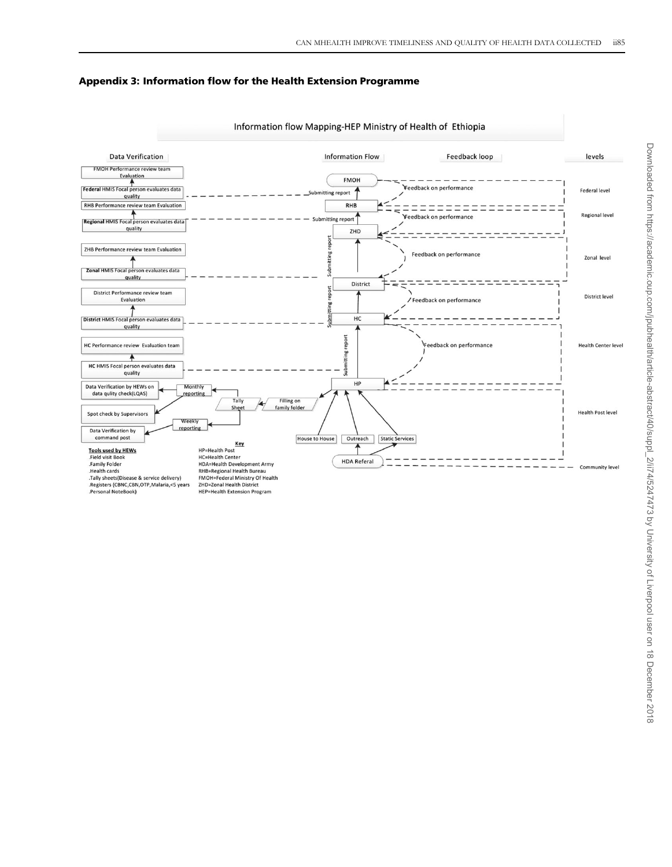## <span id="page-11-0"></span>Appendix 3: Information flow for the Health Extension Programme



Information flow Mapping-HEP Ministry of Health of Ethiopia